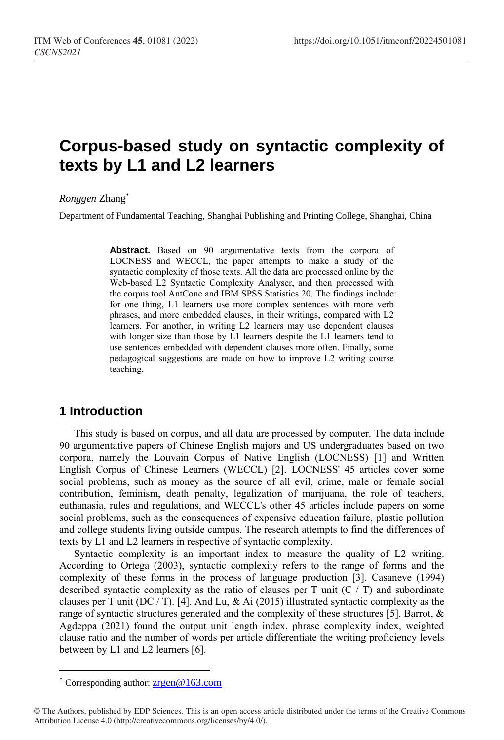# **Corpus-based study on syntactic complexity of texts by L1 and L2 learners**

*Ronggen* Zhang\*

Department of Fundamental Teaching, Shanghai Publishing and Printing College, Shanghai, China

Abstract. Based on 90 argumentative texts from the corpora of LOCNESS and WECCL, the paper attempts to make a study of the syntactic complexity of those texts. All the data are processed online by the Web-based L2 Syntactic Complexity Analyser, and then processed with the corpus tool AntConc and IBM SPSS Statistics 20. The findings include: for one thing, L1 learners use more complex sentences with more verb phrases, and more embedded clauses, in their writings, compared with L2 learners. For another, in writing L2 learners may use dependent clauses with longer size than those by L1 learners despite the L1 learners tend to use sentences embedded with dependent clauses more often. Finally, some pedagogical suggestions are made on how to improve L2 writing course teaching.

# **1 Introduction**

This study is based on corpus, and all data are processed by computer. The data include 90 argumentative papers of Chinese English majors and US undergraduates based on two corpora, namely the Louvain Corpus of Native English (LOCNESS) [1] and Written English Corpus of Chinese Learners (WECCL) [2]. LOCNESS' 45 articles cover some social problems, such as money as the source of all evil, crime, male or female social contribution, feminism, death penalty, legalization of marijuana, the role of teachers, euthanasia, rules and regulations, and WECCL's other 45 articles include papers on some social problems, such as the consequences of expensive education failure, plastic pollution and college students living outside campus. The research attempts to find the differences of texts by L1 and L2 learners in respective of syntactic complexity.

Syntactic complexity is an important index to measure the quality of L2 writing. According to Ortega (2003), syntactic complexity refers to the range of forms and the complexity of these forms in the process of language production [3]. Casaneve (1994) described syntactic complexity as the ratio of clauses per T unit  $(C / T)$  and subordinate clauses per T unit (DC / T). [4]. And Lu, & Ai (2015) illustrated syntactic complexity as the range of syntactic structures generated and the complexity of these structures [5]. Barrot, & Agdeppa (2021) found the output unit length index, phrase complexity index, weighted clause ratio and the number of words per article differentiate the writing proficiency levels between by L1 and L2 learners [6].

 $\overline{a}$ 

Corresponding author: [zrgen@163.com](mailto:zrgen@163.com)

<sup>©</sup> The Authors, published by EDP Sciences. This is an open access article distributed under the terms of the Creative Commons Attribution License 4.0 (http://creativecommons.org/licenses/by/4.0/).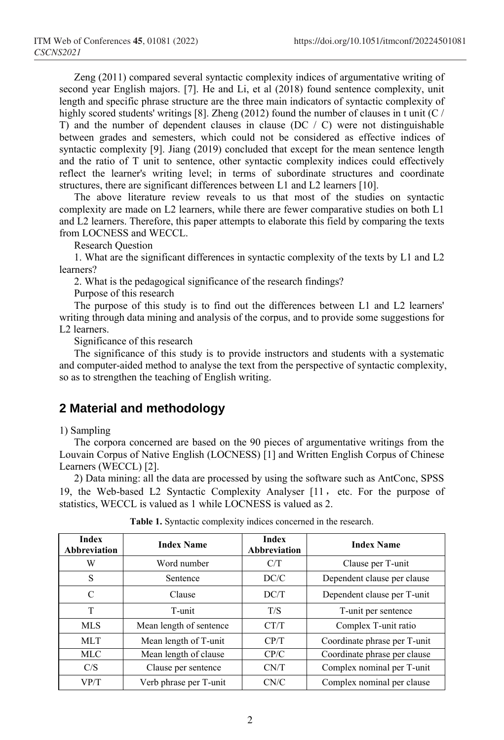Zeng (2011) compared several syntactic complexity indices of argumentative writing of second year English majors. [7]. He and Li, et al (2018) found sentence complexity, unit length and specific phrase structure are the three main indicators of syntactic complexity of highly scored students' writings [8]. Zheng (2012) found the number of clauses in t unit (C / T) and the number of dependent clauses in clause (DC  $/$  C) were not distinguishable between grades and semesters, which could not be considered as effective indices of syntactic complexity [9]. Jiang (2019) concluded that except for the mean sentence length and the ratio of T unit to sentence, other syntactic complexity indices could effectively reflect the learner's writing level; in terms of subordinate structures and coordinate structures, there are significant differences between L1 and L2 learners [10].

The above literature review reveals to us that most of the studies on syntactic complexity are made on L2 learners, while there are fewer comparative studies on both L1 and L2 learners. Therefore, this paper attempts to elaborate this field by comparing the texts from LOCNESS and WECCL.

Research Question

1. What are the significant differences in syntactic complexity of the texts by L1 and L2 learners?

2. What is the pedagogical significance of the research findings?

Purpose of this research

The purpose of this study is to find out the differences between L1 and L2 learners' writing through data mining and analysis of the corpus, and to provide some suggestions for L2 learners.

Significance of this research

The significance of this study is to provide instructors and students with a systematic and computer-aided method to analyse the text from the perspective of syntactic complexity, so as to strengthen the teaching of English writing.

# **2 Material and methodology**

#### 1) Sampling

The corpora concerned are based on the 90 pieces of argumentative writings from the Louvain Corpus of Native English (LOCNESS) [1] and Written English Corpus of Chinese Learners (WECCL) [2].

2) Data mining: all the data are processed by using the software such as AntConc, SPSS 19, the Web-based L2 Syntactic Complexity Analyser [11, etc. For the purpose of statistics, WECCL is valued as 1 while LOCNESS is valued as 2.

| <b>Index</b><br>Abbreviation | <b>Index Name</b>       | <b>Index</b><br><b>Abbreviation</b> | <b>Index Name</b>            |  |  |  |  |
|------------------------------|-------------------------|-------------------------------------|------------------------------|--|--|--|--|
| W                            | Word number             | C/T                                 | Clause per T-unit            |  |  |  |  |
| S                            | Sentence                | DC/C                                | Dependent clause per clause  |  |  |  |  |
| C                            | Clause                  | DC/T                                | Dependent clause per T-unit  |  |  |  |  |
| T                            | T-unit                  | T/S                                 | T-unit per sentence          |  |  |  |  |
| MLS                          | Mean length of sentence | CT/T                                | Complex T-unit ratio         |  |  |  |  |
| MLT.                         | Mean length of T-unit   | CP/T                                | Coordinate phrase per T-unit |  |  |  |  |
| MLC.                         | Mean length of clause   | CP/C                                | Coordinate phrase per clause |  |  |  |  |
| C/S                          | Clause per sentence     | CN/T                                | Complex nominal per T-unit   |  |  |  |  |
| VP/T                         | Verb phrase per T-unit  | CN/C                                | Complex nominal per clause   |  |  |  |  |

**Table 1.** Syntactic complexity indices concerned in the research.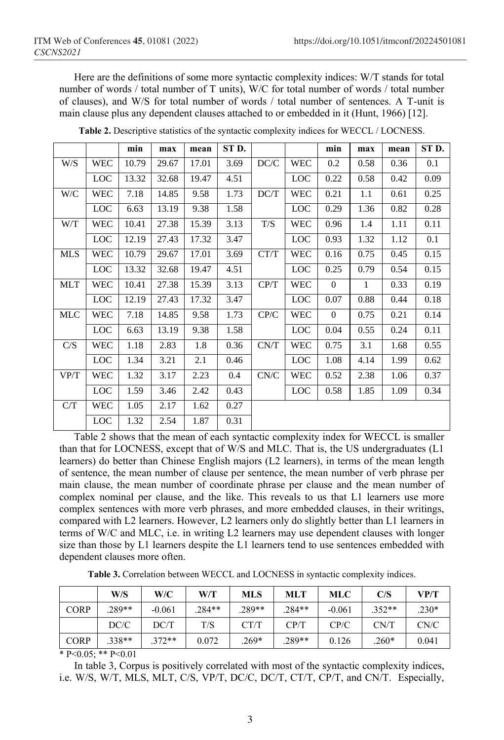Here are the definitions of some more syntactic complexity indices: W/T stands for total number of words / total number of T units), W/C for total number of words / total number of clauses), and W/S for total number of words / total number of sentences. A T-unit is main clause plus any dependent clauses attached to or embedded in it (Hunt, 1966) [12].

|      |            | min   | max   | mean  | ST D. |      |            | min            | max          | mean | ST D. |
|------|------------|-------|-------|-------|-------|------|------------|----------------|--------------|------|-------|
| W/S  | <b>WEC</b> | 10.79 | 29.67 | 17.01 | 3.69  | DC/C | <b>WEC</b> | 0.2            | 0.58         | 0.36 | 0.1   |
|      | <b>LOC</b> | 13.32 | 32.68 | 19.47 | 4.51  |      | <b>LOC</b> | 0.22           | 0.58         | 0.42 | 0.09  |
| W/C  | <b>WEC</b> | 7.18  | 14.85 | 9.58  | 1.73  | DC/T | WEC        | 0.21           | 1.1          | 0.61 | 0.25  |
|      | <b>LOC</b> | 6.63  | 13.19 | 9.38  | 1.58  |      | <b>LOC</b> | 0.29           | 1.36         | 0.82 | 0.28  |
| W/T  | <b>WEC</b> | 10.41 | 27.38 | 15.39 | 3.13  | T/S  | <b>WEC</b> | 0.96           | 1.4          | 1.11 | 0.11  |
|      | <b>LOC</b> | 12.19 | 27.43 | 17.32 | 3.47  |      | <b>LOC</b> | 0.93           | 1.32         | 1.12 | 0.1   |
| MLS  | WEC        | 10.79 | 29.67 | 17.01 | 3.69  | CT/T | WEC        | 0.16           | 0.75         | 0.45 | 0.15  |
|      | LOC        | 13.32 | 32.68 | 19.47 | 4.51  |      | <b>LOC</b> | 0.25           | 0.79         | 0.54 | 0.15  |
| MLT  | <b>WEC</b> | 10.41 | 27.38 | 15.39 | 3.13  | CP/T | <b>WEC</b> | $\overline{0}$ | $\mathbf{1}$ | 0.33 | 0.19  |
|      | <b>LOC</b> | 12.19 | 27.43 | 17.32 | 3.47  |      | <b>LOC</b> | 0.07           | 0.88         | 0.44 | 0.18  |
| MLC  | <b>WEC</b> | 7.18  | 14.85 | 9.58  | 1.73  | CP/C | <b>WEC</b> | $\overline{0}$ | 0.75         | 0.21 | 0.14  |
|      | LOC        | 6.63  | 13.19 | 9.38  | 1.58  |      | <b>LOC</b> | 0.04           | 0.55         | 0.24 | 0.11  |
| C/S  | <b>WEC</b> | 1.18  | 2.83  | 1.8   | 0.36  | CN/T | <b>WEC</b> | 0.75           | 3.1          | 1.68 | 0.55  |
|      | <b>LOC</b> | 1.34  | 3.21  | 2.1   | 0.46  |      | <b>LOC</b> | 1.08           | 4.14         | 1.99 | 0.62  |
| VP/T | <b>WEC</b> | 1.32  | 3.17  | 2.23  | 0.4   | CN/C | <b>WEC</b> | 0.52           | 2.38         | 1.06 | 0.37  |
|      | <b>LOC</b> | 1.59  | 3.46  | 2.42  | 0.43  |      | <b>LOC</b> | 0.58           | 1.85         | 1.09 | 0.34  |
| C/T  | <b>WEC</b> | 1.05  | 2.17  | 1.62  | 0.27  |      |            |                |              |      |       |
|      | <b>LOC</b> | 1.32  | 2.54  | 1.87  | 0.31  |      |            |                |              |      |       |

**Table 2.** Descriptive statistics of the syntactic complexity indices for WECCL / LOCNESS.

Table 2 shows that the mean of each syntactic complexity index for WECCL is smaller than that for LOCNESS, except that of W/S and MLC. That is, the US undergraduates (L1 learners) do better than Chinese English majors (L2 learners), in terms of the mean length of sentence, the mean number of clause per sentence, the mean number of verb phrase per main clause, the mean number of coordinate phrase per clause and the mean number of complex nominal per clause, and the like. This reveals to us that L1 learners use more complex sentences with more verb phrases, and more embedded clauses, in their writings, compared with L2 learners. However, L2 learners only do slightly better than L1 learners in terms of W/C and MLC, i.e. in writing L2 learners may use dependent clauses with longer size than those by L1 learners despite the L1 learners tend to use sentences embedded with dependent clauses more often.

**Table 3.** Correlation between WECCL and LOCNESS in syntactic complexity indices.

|             | W/S   | W/C      | W/T      | <b>MLS</b> | <b>MLT</b> | <b>MLC</b> | C/S      | VP/T    |
|-------------|-------|----------|----------|------------|------------|------------|----------|---------|
| <b>CORP</b> | 289** | $-0.061$ | $.284**$ | .289**     | $.284**$   | $-0.061$   | $.352**$ | $.230*$ |
|             | DC/C  | DC/T     | T/S      | CT/T       | CP/T       | CP/C       | CN/T     | CN/C    |
| <b>CORP</b> | 338** | $.372**$ | 0.072    | $.269*$    | .289**     | 0.126      | $.260*$  | 0.041   |

\* P< $0.05$ ; \*\* P< $0.01$ 

In table 3, Corpus is positively correlated with most of the syntactic complexity indices, i.e. W/S, W/T, MLS, MLT, C/S, VP/T, DC/C, DC/T, CT/T, CP/T, and CN/T. Especially,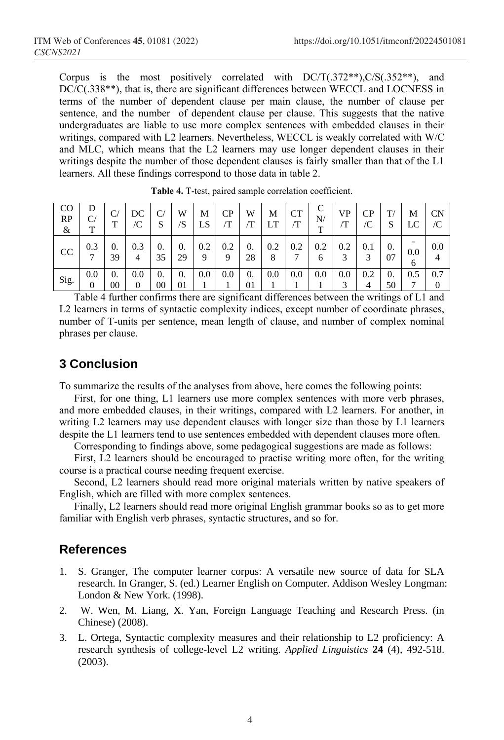Corpus is the most positively correlated with  $DC/T(.372^{**})$ ,  $C/S(.352^{**})$ , and DC/C(.338\*\*), that is, there are significant differences between WECCL and LOCNESS in terms of the number of dependent clause per main clause, the number of clause per sentence, and the number of dependent clause per clause. This suggests that the native undergraduates are liable to use more complex sentences with embedded clauses in their writings, compared with L2 learners. Nevertheless, WECCL is weakly correlated with W/C and MLC, which means that the L2 learners may use longer dependent clauses in their writings despite the number of those dependent clauses is fairly smaller than that of the L1 learners. All these findings correspond to those data in table 2.

| CO<br>RP<br>& | D<br>$\rm C/$<br>T | $\mathbf{C}$<br>т | DC<br>/C              | $\mathsf{\cap}$<br>S | W<br>'S  | М<br>ĹS. | CP       | W<br>⁄Τ          | М<br>LT. | <b>CT</b><br>⁄Т | C<br>N/<br>$\mathbf{r}$ | VP<br>$\sqrt{2}$ | СP<br>/C | T/<br>S  | M<br>LC  | CN<br>$\sqrt{C}$ |
|---------------|--------------------|-------------------|-----------------------|----------------------|----------|----------|----------|------------------|----------|-----------------|-------------------------|------------------|----------|----------|----------|------------------|
| CC            | 0.3<br>−           | 0.<br>39          | 0.3<br>$\overline{4}$ | 0.<br>35             | 0.<br>29 | 0.2<br>9 | 0.2<br>Q | $\theta$ .<br>28 | 0.2<br>8 | 0.2             | 0.2<br>6                | 0.2              | 0.1<br>3 | 0.<br>07 | 0.0<br>O | 0.0<br>4         |
| Sig.          | 0.0<br>0           | 0.<br>$00\,$      | 0.0<br>0              | 0.<br>$00\,$         | 0.<br>01 | 0.0      | 0.0      | $\theta$ .<br>01 | 0.0      | 0.0             | 0.0                     | 0.0              | 0.2      | 0.<br>50 | 0.5<br>− | 0.7              |

**Table 4.** T-test, paired sample correlation coefficient.

Table 4 further confirms there are significant differences between the writings of L1 and L2 learners in terms of syntactic complexity indices, except number of coordinate phrases, number of T-units per sentence, mean length of clause, and number of complex nominal phrases per clause.

## **3 Conclusion**

To summarize the results of the analyses from above, here comes the following points:

First, for one thing, L1 learners use more complex sentences with more verb phrases, and more embedded clauses, in their writings, compared with L2 learners. For another, in writing L2 learners may use dependent clauses with longer size than those by L1 learners despite the L1 learners tend to use sentences embedded with dependent clauses more often.

Corresponding to findings above, some pedagogical suggestions are made as follows:

First, L2 learners should be encouraged to practise writing more often, for the writing course is a practical course needing frequent exercise.

Second, L2 learners should read more original materials written by native speakers of English, which are filled with more complex sentences.

Finally, L2 learners should read more original English grammar books so as to get more familiar with English verb phrases, syntactic structures, and so for.

### **References**

- 1. S. Granger, The computer learner corpus: A versatile new source of data for SLA research. In Granger, S. (ed.) Learner English on Computer. Addison Wesley Longman: London & New York. (1998).
- 2. W. Wen, M. Liang, X. Yan, Foreign Language Teaching and Research Press. (in Chinese) (2008).
- 3. L. Ortega, Syntactic complexity measures and their relationship to L2 proficiency: A research synthesis of college-level L2 writing. *Applied Linguistics* **24** (4), 492-518. (2003).